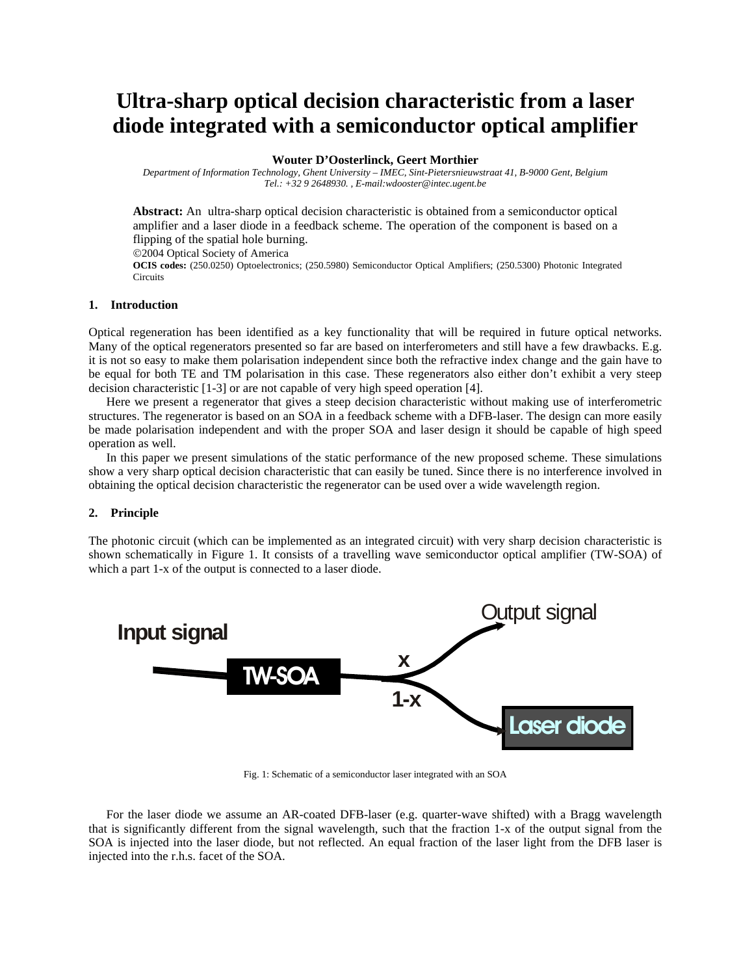# **Ultra-sharp optical decision characteristic from a laser diode integrated with a semiconductor optical amplifier**

# **Wouter D'Oosterlinck, Geert Morthier**

*Department of Information Technology, Ghent University – IMEC, Sint-Pietersnieuwstraat 41, B-9000 Gent, Belgium Tel.: +32 9 2648930. , E-mail:wdooster@intec.ugent.be*

**Abstract:** An ultra-sharp optical decision characteristic is obtained from a semiconductor optical amplifier and a laser diode in a feedback scheme. The operation of the component is based on a flipping of the spatial hole burning. ©2004 Optical Society of America

**OCIS codes:** (250.0250) Optoelectronics; (250.5980) Semiconductor Optical Amplifiers; (250.5300) Photonic Integrated Circuits

# **1. Introduction**

Optical regeneration has been identified as a key functionality that will be required in future optical networks. Many of the optical regenerators presented so far are based on interferometers and still have a few drawbacks. E.g. it is not so easy to make them polarisation independent since both the refractive index change and the gain have to be equal for both TE and TM polarisation in this case. These regenerators also either don't exhibit a very steep decision characteristic [1-3] or are not capable of very high speed operation [4].

Here we present a regenerator that gives a steep decision characteristic without making use of interferometric structures. The regenerator is based on an SOA in a feedback scheme with a DFB-laser. The design can more easily be made polarisation independent and with the proper SOA and laser design it should be capable of high speed operation as well.

In this paper we present simulations of the static performance of the new proposed scheme. These simulations show a very sharp optical decision characteristic that can easily be tuned. Since there is no interference involved in obtaining the optical decision characteristic the regenerator can be used over a wide wavelength region.

### **2. Principle**

The photonic circuit (which can be implemented as an integrated circuit) with very sharp decision characteristic is shown schematically in Figure 1. It consists of a travelling wave semiconductor optical amplifier (TW-SOA) of which a part 1-x of the output is connected to a laser diode.



Fig. 1: Schematic of a semiconductor laser integrated with an SOA

For the laser diode we assume an AR-coated DFB-laser (e.g. quarter-wave shifted) with a Bragg wavelength that is significantly different from the signal wavelength, such that the fraction 1-x of the output signal from the SOA is injected into the laser diode, but not reflected. An equal fraction of the laser light from the DFB laser is injected into the r.h.s. facet of the SOA.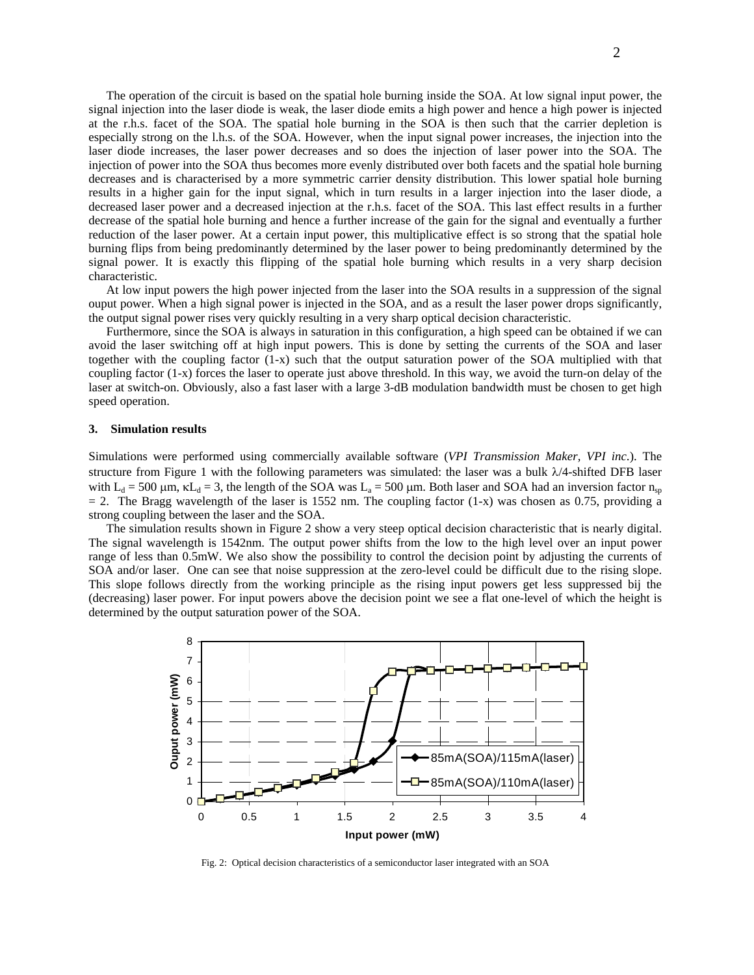The operation of the circuit is based on the spatial hole burning inside the SOA. At low signal input power, the signal injection into the laser diode is weak, the laser diode emits a high power and hence a high power is injected at the r.h.s. facet of the SOA. The spatial hole burning in the SOA is then such that the carrier depletion is especially strong on the l.h.s. of the SOA. However, when the input signal power increases, the injection into the laser diode increases, the laser power decreases and so does the injection of laser power into the SOA. The injection of power into the SOA thus becomes more evenly distributed over both facets and the spatial hole burning decreases and is characterised by a more symmetric carrier density distribution. This lower spatial hole burning results in a higher gain for the input signal, which in turn results in a larger injection into the laser diode, a decreased laser power and a decreased injection at the r.h.s. facet of the SOA. This last effect results in a further decrease of the spatial hole burning and hence a further increase of the gain for the signal and eventually a further reduction of the laser power. At a certain input power, this multiplicative effect is so strong that the spatial hole burning flips from being predominantly determined by the laser power to being predominantly determined by the signal power. It is exactly this flipping of the spatial hole burning which results in a very sharp decision characteristic.

At low input powers the high power injected from the laser into the SOA results in a suppression of the signal ouput power. When a high signal power is injected in the SOA, and as a result the laser power drops significantly, the output signal power rises very quickly resulting in a very sharp optical decision characteristic.

Furthermore, since the SOA is always in saturation in this configuration, a high speed can be obtained if we can avoid the laser switching off at high input powers. This is done by setting the currents of the SOA and laser together with the coupling factor (1-x) such that the output saturation power of the SOA multiplied with that coupling factor (1-x) forces the laser to operate just above threshold. In this way, we avoid the turn-on delay of the laser at switch-on. Obviously, also a fast laser with a large 3-dB modulation bandwidth must be chosen to get high speed operation.

### **3. Simulation results**

Simulations were performed using commercially available software (*VPI Transmission Maker, VPI inc*.). The structure from Figure 1 with the following parameters was simulated: the laser was a bulk  $\lambda/4$ -shifted DFB laser with L<sub>d</sub> = 500 µm,  $\kappa$ L<sub>d</sub> = 3, the length of the SOA was L<sub>a</sub> = 500 µm. Both laser and SOA had an inversion factor n<sub>sp</sub>  $= 2$ . The Bragg wavelength of the laser is 1552 nm. The coupling factor (1-x) was chosen as 0.75, providing a strong coupling between the laser and the SOA.

The simulation results shown in Figure 2 show a very steep optical decision characteristic that is nearly digital. The signal wavelength is 1542nm. The output power shifts from the low to the high level over an input power range of less than 0.5mW. We also show the possibility to control the decision point by adjusting the currents of SOA and/or laser. One can see that noise suppression at the zero-level could be difficult due to the rising slope. This slope follows directly from the working principle as the rising input powers get less suppressed bij the (decreasing) laser power. For input powers above the decision point we see a flat one-level of which the height is determined by the output saturation power of the SOA.



Fig. 2: Optical decision characteristics of a semiconductor laser integrated with an SOA